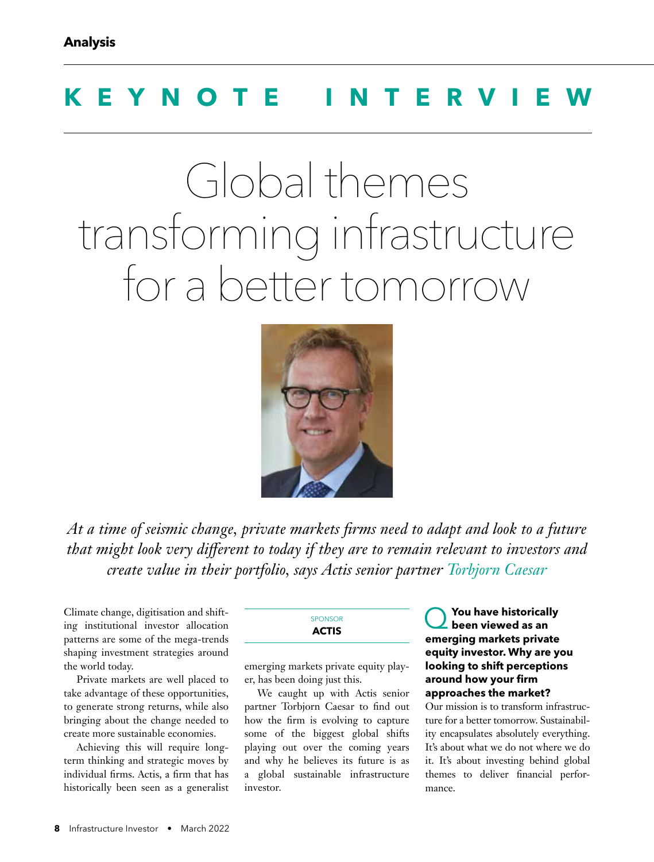# **KEYNOTE INTERVIEW**

# Global themes transforming infrastructure for a better tomorrow



At a time of seismic change, private markets firms need to adapt and look to a future that might look very different to today if they are to remain relevant to investors and *create value in their portfolio, says Actis senior partner Torbjorn Caesar* 

Climate change, digitisation and shifting institutional investor allocation patterns are some of the mega-trends shaping investment strategies around the world today.

Private markets are well placed to take advantage of these opportunities, to generate strong returns, while also bringing about the change needed to create more sustainable economies.

Achieving this will require longterm thinking and strategic moves by individual firms. Actis, a firm that has historically been seen as a generalist

## SPONSOR **ACTIS**

emerging markets private equity player, has been doing just this.

We caught up with Actis senior partner Torbjorn Caesar to find out how the firm is evolving to capture some of the biggest global shifts playing out over the coming years and why he believes its future is as a global sustainable infrastructure investor.

#### Q**You have historically been viewed as an emerging markets private equity investor. Why are you looking to shift perceptions**  around how your firm **approaches the market?**

Our mission is to transform infrastructure for a better tomorrow. Sustainability encapsulates absolutely everything. It's about what we do not where we do it. It's about investing behind global themes to deliver financial performance.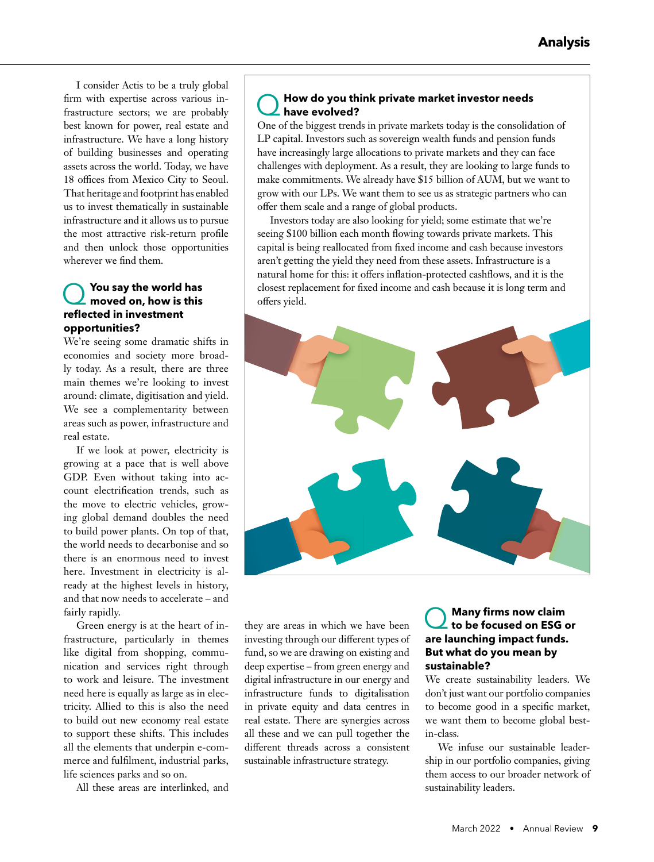I consider Actis to be a truly global firm with expertise across various infrastructure sectors; we are probably best known for power, real estate and infrastructure. We have a long history of building businesses and operating assets across the world. Today, we have 18 offices from Mexico City to Seoul. That heritage and footprint has enabled us to invest thematically in sustainable infrastructure and it allows us to pursue the most attractive risk-return profile and then unlock those opportunities wherever we find them.

## Q**You say the world has moved on, how is this refl ected in investment opportunities?**

We're seeing some dramatic shifts in economies and society more broadly today. As a result, there are three main themes we're looking to invest around: climate, digitisation and yield. We see a complementarity between areas such as power, infrastructure and real estate.

If we look at power, electricity is growing at a pace that is well above GDP. Even without taking into account electrification trends, such as the move to electric vehicles, growing global demand doubles the need to build power plants. On top of that, the world needs to decarbonise and so there is an enormous need to invest here. Investment in electricity is already at the highest levels in history, and that now needs to accelerate – and fairly rapidly.

Green energy is at the heart of infrastructure, particularly in themes like digital from shopping, communication and services right through to work and leisure. The investment need here is equally as large as in electricity. Allied to this is also the need to build out new economy real estate to support these shifts. This includes all the elements that underpin e-commerce and fulfilment, industrial parks, life sciences parks and so on.

All these areas are interlinked, and

## Q**How do you think private market investor needs have evolved?**

One of the biggest trends in private markets today is the consolidation of LP capital. Investors such as sovereign wealth funds and pension funds have increasingly large allocations to private markets and they can face challenges with deployment. As a result, they are looking to large funds to make commitments. We already have \$15 billion of AUM, but we want to grow with our LPs. We want them to see us as strategic partners who can offer them scale and a range of global products.

Investors today are also looking for yield; some estimate that we're seeing \$100 billion each month flowing towards private markets. This capital is being reallocated from fixed income and cash because investors aren't getting the yield they need from these assets. Infrastructure is a natural home for this: it offers inflation-protected cashflows, and it is the closest replacement for fixed income and cash because it is long term and offers yield.



they are areas in which we have been investing through our different types of fund, so we are drawing on existing and deep expertise – from green energy and digital infrastructure in our energy and infrastructure funds to digitalisation in private equity and data centres in real estate. There are synergies across all these and we can pull together the different threads across a consistent sustainable infrastructure strategy.

### **Many firms now claim to be focused on ESG or are launching impact funds. But what do you mean by sustainable?**

We create sustainability leaders. We don't just want our portfolio companies to become good in a specific market, we want them to become global bestin-class.

We infuse our sustainable leadership in our portfolio companies, giving them access to our broader network of sustainability leaders.